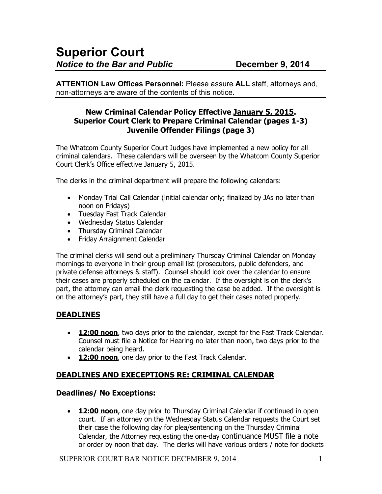**ATTENTION Law Offices Personnel:** Please assure **ALL** staff, attorneys and, non-attorneys are aware of the contents of this notice**.** 

### **New Criminal Calendar Policy Effective January 5, 2015. Superior Court Clerk to Prepare Criminal Calendar (pages 1-3) Juvenile Offender Filings (page 3)**

The Whatcom County Superior Court Judges have implemented a new policy for all criminal calendars. These calendars will be overseen by the Whatcom County Superior Court Clerk's Office effective January 5, 2015.

The clerks in the criminal department will prepare the following calendars:

- Monday Trial Call Calendar (initial calendar only; finalized by JAs no later than noon on Fridays)
- Tuesday Fast Track Calendar
- Wednesday Status Calendar
- Thursday Criminal Calendar
- Friday Arraignment Calendar

The criminal clerks will send out a preliminary Thursday Criminal Calendar on Monday mornings to everyone in their group email list (prosecutors, public defenders, and private defense attorneys & staff). Counsel should look over the calendar to ensure their cases are properly scheduled on the calendar. If the oversight is on the clerk's part, the attorney can email the clerk requesting the case be added. If the oversight is on the attorney's part, they still have a full day to get their cases noted properly.

# **DEADLINES**

- **12:00 noon**, two days prior to the calendar, except for the Fast Track Calendar. Counsel must file a Notice for Hearing no later than noon, two days prior to the calendar being heard.
- **12:00 noon**, one day prior to the Fast Track Calendar.

# **DEADLINES AND EXECEPTIONS RE: CRIMINAL CALENDAR**

### **Deadlines/ No Exceptions:**

• **12:00 noon**, one day prior to Thursday Criminal Calendar if continued in open court. If an attorney on the Wednesday Status Calendar requests the Court set their case the following day for plea/sentencing on the Thursday Criminal Calendar, the Attorney requesting the one-day continuance MUST file a note or order by noon that day. The clerks will have various orders / note for dockets

SUPERIOR COURT BAR NOTICE DECEMBER 9, 2014 1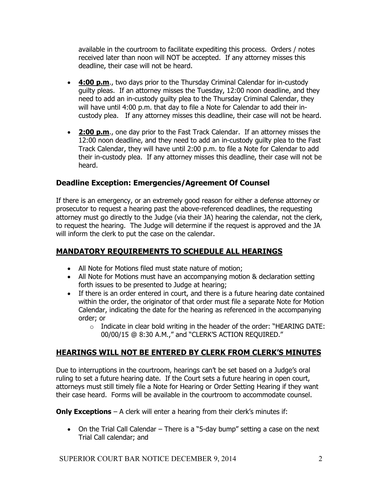available in the courtroom to facilitate expediting this process. Orders / notes received later than noon will NOT be accepted. If any attorney misses this deadline, their case will not be heard.

- **4:00 p.m.**, two days prior to the Thursday Criminal Calendar for in-custody guilty pleas. If an attorney misses the Tuesday, 12:00 noon deadline, and they need to add an in-custody guilty plea to the Thursday Criminal Calendar, they will have until 4:00 p.m. that day to file a Note for Calendar to add their incustody plea. If any attorney misses this deadline, their case will not be heard.
- **2:00 p.m**., one day prior to the Fast Track Calendar. If an attorney misses the 12:00 noon deadline, and they need to add an in-custody guilty plea to the Fast Track Calendar, they will have until 2:00 p.m. to file a Note for Calendar to add their in-custody plea. If any attorney misses this deadline, their case will not be heard.

# **Deadline Exception: Emergencies/Agreement Of Counsel**

If there is an emergency, or an extremely good reason for either a defense attorney or prosecutor to request a hearing past the above-referenced deadlines, the requesting attorney must go directly to the Judge (via their JA) hearing the calendar, not the clerk, to request the hearing. The Judge will determine if the request is approved and the JA will inform the clerk to put the case on the calendar.

# **MANDATORY REQUIREMENTS TO SCHEDULE ALL HEARINGS**

- All Note for Motions filed must state nature of motion;
- All Note for Motions must have an accompanying motion & declaration setting forth issues to be presented to Judge at hearing;
- If there is an order entered in court, and there is a future hearing date contained within the order, the originator of that order must file a separate Note for Motion Calendar, indicating the date for the hearing as referenced in the accompanying order; or
	- $\circ$  Indicate in clear bold writing in the header of the order: "HEARING DATE: 00/00/15 @ 8:30 A.M.," and "CLERK'S ACTION REQUIRED."

# **HEARINGS WILL NOT BE ENTERED BY CLERK FROM CLERK'S MINUTES**

Due to interruptions in the courtroom, hearings can't be set based on a Judge's oral ruling to set a future hearing date. If the Court sets a future hearing in open court, attorneys must still timely file a Note for Hearing or Order Setting Hearing if they want their case heard. Forms will be available in the courtroom to accommodate counsel.

**Only Exceptions** – A clerk will enter a hearing from their clerk's minutes if:

• On the Trial Call Calendar – There is a "5-day bump" setting a case on the next Trial Call calendar; and